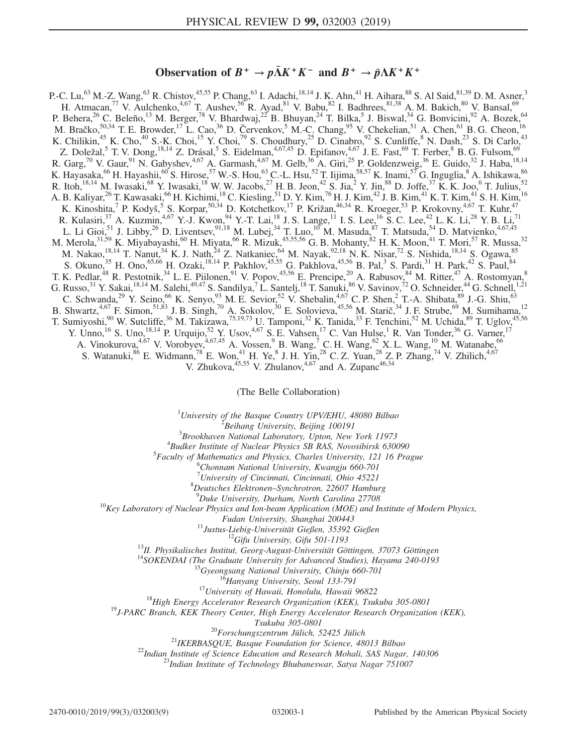## Observation of  $B^+ \to p\bar{\Lambda} K^+ K^-$  and  $B^+ \to \bar{p}\Lambda K^+ K^+$

P.-C. Lu,<sup>63</sup> M.-Z. Wang,<sup>63</sup> R. Chistov,<sup>45,55</sup> P. Chang,<sup>63</sup> I. Adachi,<sup>18,14</sup> J. K. Ahn,<sup>41</sup> H. Aihara,<sup>88</sup> S. Al Said,<sup>81,39</sup> D. M. Asner,<sup>3</sup> H. Atmacan,<sup>77</sup> V. Aulchenko,<sup>4,67</sup> T. Aushev,<sup>56</sup> R. Ayad,<sup>81</sup> V. Babu,<sup>82</sup> I. Badhrees,<sup>81,38</sup> A. M. Bakich,<sup>80</sup> V. Bansal,<sup>69</sup> P. Behera,<sup>26</sup> C. Beleño,<sup>13</sup> M. Berger,<sup>78</sup> V. Bhardwaj,<sup>22</sup> B. Bhuyan,<sup>24</sup> T. Bilka,<sup>5</sup> J. Biswal,<sup>34</sup> G. Bonvicini,<sup>92</sup> A. Bozek,<sup>64</sup> M. Bračko,<sup>50,34</sup> T. E. Browder,<sup>17</sup> L. Cao,<sup>36</sup> D. Červenkov,<sup>5</sup> M.-C. Chang,<sup>95</sup> V. Chekelian,<sup>51</sup> A. Chen,<sup>61</sup> B. G. Cheon,<sup>16</sup> K. Chilikin,<sup>45</sup> K. Cho,<sup>40</sup> S.-K. Choi,<sup>15</sup> Y. Choi,<sup>79</sup> S. Choudhury,<sup>25</sup> D. Cinabro,<sup>92</sup> S. Cunliffe,<sup>8</sup> N. Dash,<sup>23</sup> S. Di Carlo,<sup>43</sup> Z. Doležal,<sup>5</sup> T. V. Dong,<sup>18,14</sup> Z. Drásal,<sup>5</sup> S. Eidelman,<sup>4,67,45</sup> D. Epifanov,<sup>4,67</sup> J. E. Fast,<sup>69</sup> T. Ferber,<sup>8</sup> B. G. Fulsom,<sup>69</sup> R. Garg,<sup>70</sup> V. Gaur,<sup>91</sup> N. Gabyshev,<sup>4,67</sup> A. Garmash,<sup>4,67</sup> M. Gelb,<sup>36</sup> A. Giri,<sup>25</sup> P. Goldenzweig,<sup>36</sup> E. Guido,<sup>32</sup> J. Haba,<sup>18,14</sup> K. Hayasaka, $^{66}$  H. Hayashii, $^{60}$  S. Hirose, $^{57}$  W.-S. Hou, $^{63}$  C.-L. Hsu, $^{52}$  T. Iijima, $^{58,57}$  K. Inami, $^{57}$  G. Inguglia, $^8$  A. Ishikawa, $^{86}$ R. Itoh,<sup>18,14</sup> M. Iwasaki,<sup>68</sup> Y. Iwasaki,<sup>18</sup> W. W. Jacobs,<sup>27</sup> H. B. Jeon,<sup>42</sup> S. Jia,<sup>2</sup> Y. Jin,<sup>88</sup> D. Joffe,<sup>37</sup> K. K. Joo,<sup>6</sup> T. Julius,<sup>52</sup> A. B. Kaliyar,<sup>26</sup> T. Kawasaki,<sup>66</sup> H. Kichimi,<sup>18</sup> C. Kiesling,<sup>51</sup> D. Y. Kim,<sup>76</sup> H. J. Kim,<sup>42</sup> J. B. Kim,<sup>41</sup> K. T. Kim,<sup>41</sup> S. H. Kim,<sup>16</sup> K. Kinoshita,<sup>7</sup> P. Kodyš,<sup>5</sup> S. Korpar,<sup>50,34</sup> D. Kotchetkov,<sup>17</sup> P. Križan,<sup>46,34</sup> R. Kroeger,<sup>53</sup> P. Krokovny,<sup>4,67</sup> T. Kuhr,<sup>47</sup> R. Kulasiri,  $37$  A. Kuzmin,  $4.67$  Y.-J. Kwon,  $94$  Y.-T. Lai,  $18$  J. S. Lange,  $11$  I. S. Lee,  $16$  S. C. Lee,  $42$  L. K. Li,  $28$  Y. B. Li,  $71$ L. Li Gioi,<sup>51</sup> J. Libby,<sup>26</sup> D. Liventsev,<sup>91,18</sup> M. Lubej,<sup>34</sup> T. Luo,<sup>10</sup> M. Masuda,<sup>87</sup> T. Matsuda,<sup>54</sup> D. Matvienko,<sup>4,67,45</sup> M. Merola,  $31,59$  K. Miyabayashi,  $^{60}$  H. Miyata,  $^{66}$  R. Mizuk,  $^{45,55,56}$  G. B. Mohanty,  $^{82}$  H. K. Moon,  $^{41}$  T. Mori,  $^{57}$  R. Mussa,  $^{32}$ M. Nakao,  $^{18,14}$  T. Nanut,  $^{34}$  K. J. Nath,  $^{24}$  Z. Natkaniec,  $^{64}$  M. Nayak,  $^{92,18}$  N. K. Nisar,  $^{72}$  S. Nishida,  $^{18,14}$  S. Ogawa,  $^{85}$ S. Okuno,<sup>35</sup> H. Ono,<sup>65,66</sup> H. Ozaki,<sup>18,14</sup> P. Pakhlov,<sup>45,55</sup> G. Pakhlova,<sup>45,56</sup> B. Pal,<sup>3</sup> S. Pardi,<sup>31</sup> H. Park,<sup>42</sup> S. Paul,<sup>84</sup> T. K. Pedlar,<sup>48</sup> R. Pestotnik,<sup>34</sup> L. E. Piilonen,<sup>91</sup> V. Popov,<sup>45,56</sup> E. Prencipe,<sup>20</sup> A. Rabusov,<sup>84</sup> M. Ritter,<sup>47</sup> A. Rostomyan,<sup>8</sup> G. Russo,  $31$  Y. Sakai,  $18,14$  M. Salehi,  $49,47$  S. Sandilya,  $7$  L. Santelj,  $18$  T. Sanuki,  $86$  V. Savinov,  $72$  O. Schneider,  $44$  G. Schnell,  $1,21$ C. Schwanda,<sup>29</sup> Y. Seino,<sup>66</sup> K. Senyo,<sup>93</sup> M. E. Sevior,<sup>52</sup> V. Shebalin,<sup>4,67</sup> C. P. Shen,<sup>2</sup> T.-A. Shibata,<sup>89</sup> J.-G. Shiu,<sup>63</sup> B. Shwartz,  $4.67$  F. Simon,  $51.83$  J. B. Singh,  $70$  A. Sokolov,  $30$  E. Solovieva,  $45.56$  M. Starič,  $34$  J. F. Strube,  $69$  M. Sumihama,  $12$ T. Sumiyoshi,<sup>90</sup> W. Sutcliffe,<sup>36</sup> M. Takizawa,<sup>75,19,73</sup> U. Tamponi,<sup>32</sup> K. Tanida,<sup>33</sup> F. Tenchini,<sup>52</sup> M. Uchida,<sup>89</sup> T. Uglov,<sup>45,56</sup> Y. Unno,<sup>16</sup> S. Uno,<sup>18,14</sup> P. Urquijo,<sup>52</sup> Y. Usov,<sup>4,67</sup> S. E. Vahsen,<sup>17</sup> C. Van Hulse,<sup>1</sup> R. Van Tonder,<sup>36</sup> G. Varner,<sup>17</sup> A. Vinokurova,  $4.67$  V. Vorobyev,  $4.67,45$  A. Vossen,  $9$  B. Wang,  $7$  C. H. Wang,  $62$  X. L. Wang,  $10$  M. Watanabe,  $66$ S. Watanuki,  $86$  E. Widmann,  $78$  E. Won,  $41$  H. Ye,  $8$  J. H. Yin,  $28$  C. Z. Yuan,  $28$  Z. P. Zhang,  $74$  V. Zhilich,  $4,67$ V. Zhukova,  $45,55$  V. Zhulanov,  $4,67$  and A. Zupanc $46,34$ 

(The Belle Collaboration)

<sup>1</sup>University of the Basque Country UPV/EHU, 48080 Bilbao  $\frac{2 \text{ B} \text{g}}{2 \text{ B} \text{g}}$  Library University, Bailing 100101

 $B^2$ Beihang University, Beijing 100191

 $3B$ rookhaven National Laboratory, Upton, New York 11973

 ${}^{4}$ Budker Institute of Nuclear Physics SB RAS, Novosibirsk 630090

 ${}^{5}$ Faculty of Mathematics and Physics, Charles University, 121 16 Prague

Chonnam National University, Kwangju 660-701

<sup>7</sup> University of Cincinnati, Cincinnati, Ohio 45221<sup>8</sup> Dautsches, Elektronan, Synghretran, 22607, Hambu-

 ${}^{8}$ Deutsches Elektronen–Synchrotron, 22607 Hamburg  ${}^{9}$ Duke University, Durham, North Carolina 27708

 $^{10}$ Key Laboratory of Nuclear Physics and Ion-beam Application (MOE) and Institute of Modern Physics,

Fudan University, Shanghai 200443<br>
<sup>11</sup>Justus-Liebig-Universität Gießen, 35392 Gießen<br>
<sup>12</sup>Gifu University, Gifu 501-1193<br>
<sup>13</sup>II. Physikalisches Institut, Georg-August-Universität Göttingen, 37073 Göttingen<br>
<sup>14</sup>SOKENDAI

Tsukuba 305-0801<br><sup>20</sup>Forschungszentrum Jülich, 52425 Jülich<sup>21</sup>IKERBASQUE, Basque Foundation for Science, 48013 Bilbao<br><sup>22</sup>Indian Institute of Science Education and Research Mohali, SAS Nagar, 140306<br><sup>23</sup>Indian Institute o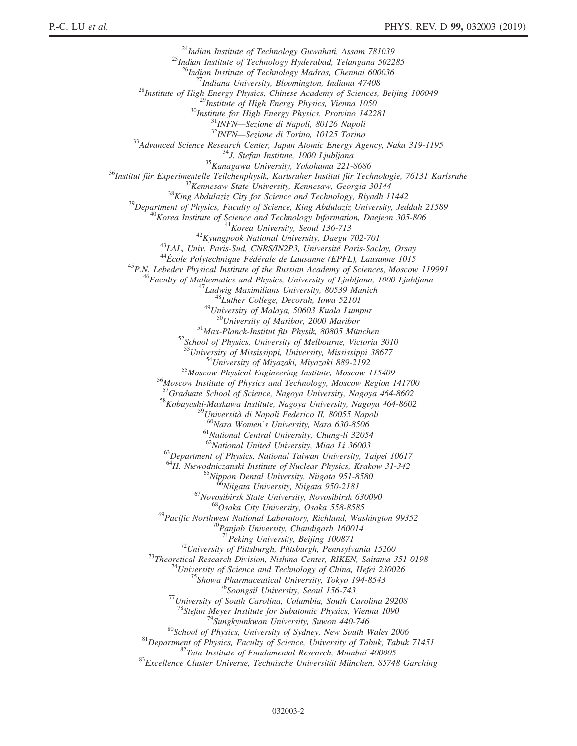<sup>24</sup>Indian Institute of Technology Guwahati, Assam 781039<br><sup>25</sup>Indian Institute of Technology Hyderabad, Telangana 502285<br><sup>26</sup>Indian Institute of Technology Madras, Chennai 600036  $\begin{tabular}{c|c|c} $^{26}$/ndian Institute of Technology Madras, Chemai 600036 \\ \hline \end{tabular} \begin{tabular}{c} $^{26}$/ndian Institute of Theological University, Bloomingon, Indian 47408 \\ $^{28}$/nsitute of High Energy Physics, Chinese Academy of Sciences, Beijing 100049 \\ $^{29}$/nsititute for High Energy Physics, Vern & 10050 \\ $^{29}$/nsitute for High Energy Physics, Provino 142281 \\ $^{30}$/nsitute for High Energy Physics, Provino 142281 \\ $^{31}$/NFN—Sectioned 1 Or125 Torino \\ $^{32}$/MWRN—Sectioned 1.8$ <sup>52</sup>School of Physics, University of Melbourne, Victoria 3010<br><sup>53</sup>University of Mississippi, University, Mississippi 38677<br><sup>54</sup>University of Miyazaki, Miyazaki 889-2192<br><sup>55</sup>Moscow Physical Engineering Institute, Moscow 11 <sup>58</sup>Kobayashi-Maskawa Institute, Nagoya University, Nagoya 464-8602<br><sup>59</sup>Università di Napoli Federico II, 80055 Napoli  $^{60}$ Nara Women's University, Nara 630-8506<br> $^{61}$ National Central University, Chung-li 32054<br> $^{62}$ National United University, Miao Li 36003  $^{63}$ Department of Physics, National Taiwan University, Taipei 10617 <sup>64</sup>H. Niewodniczanski Institute of Nuclear Physics, Krakow 31-342<br><sup>65</sup>Nippon Dental University, Niigata 951-8580<br><sup>66</sup>Niigata University, Niigata 950-2181<br><sup>67</sup>Novosibirsk State University, Novosibirsk 630090<br><sup>68</sup>Osaka Cit <sup>69</sup>Pacific Northwest National Laboratory, Richland, Washington 99352<br><sup>70</sup>Panjab University, Chandigarh 160014<br><sup>71</sup>Peking University, Beijing 100871 <sup>73</sup>Theoretical Research Division, Nishina Center, RIKEN, Saitama 351-0198<br><sup>73</sup>Theoretical Research Division, Nishina Center, RIKEN, Saitama 351-0198<br><sup>74</sup>University of Science and Technology of China, Hefei 230026<br><sup>75</sup>Sho <sup>79</sup>Sungkyunkwan University, Suwon 440-746<br><sup>80</sup>School of Physics, University of Sydney, New South Wales 2006<br><sup>81</sup>Department of Physics, Faculty of Science, University of Tabuk, Tabuk 71451<br><sup>82</sup>Tata Institute of Fundamenta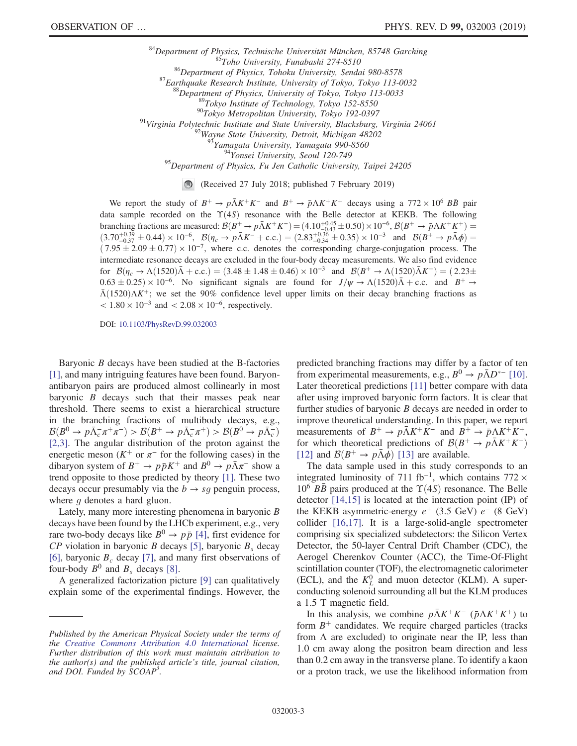<sup>84</sup>Department of Physics, Technische Universität München, 85748 Garching<br><sup>85</sup>Toho University, Funabashi 274-8510<br><sup>86</sup>Department of Physics, Tohoku University, Sendai 980-8578<br><sup>87</sup>Earthquake Research Institute, University <sup>95</sup>Department of Physics, Fu Jen Catholic University, Taipei 24205

(Received 27 July 2018; published 7 February 2019)

We report the study of  $B^+ \to p\bar{\Lambda}K^+K^-$  and  $B^+ \to p\Lambda K^+K^+$  decays using a 772 × 10<sup>6</sup>  $B\bar{B}$  pair data sample recorded on the  $\Upsilon(4S)$  resonance with the Belle detector at KEKB. The following branching fractions are measured:  $\mathcal{B}(B^+ \to p\bar{\Lambda}K^+K^-) = (4.10^{+0.45}_{-0.43} \pm 0.50) \times 10^{-6}$ ,  $\mathcal{B}(B^+ \to p\Lambda K^+K^+) =$  $(3.70^{+0.39}_{-0.37} \pm 0.44) \times 10^{-6}$ ,  $\mathcal{B}(\eta_c \to p\bar{\Lambda}K^- + \text{c.c.}) = (2.83^{+0.36}_{-0.34} \pm 0.35) \times 10^{-3}$  and  $\mathcal{B}(B^+ \to p\bar{\Lambda}\phi) =$  $(7.95 \pm 2.09 \pm 0.77) \times 10^{-7}$ , where c.c. denotes the corresponding charge-conjugation process. The intermediate resonance decays are excluded in the four-body decay measurements. We also find evidence for  $\mathcal{B}(\eta_c \to \Lambda(1520)\bar{\Lambda} + \text{c.c.}) = (3.48 \pm 1.48 \pm 0.46) \times 10^{-3}$  and  $\mathcal{B}(B^+ \to \Lambda(1520)\bar{\Lambda}K^+) = (2.23 \pm 0.46) \times 10^{-3}$  $0.63 \pm 0.25) \times 10^{-6}$ . No significant signals are found for  $J/\psi \rightarrow \Lambda (1520)\bar{\Lambda} + \text{c.c.}$  and  $B^+ \rightarrow$  $\bar{\Lambda}$ (1520) $\Lambda K^+$ ; we set the 90% confidence level upper limits on their decay branching fractions as  $< 1.80 \times 10^{-3}$  and  $< 2.08 \times 10^{-6}$ , respectively.

DOI: [10.1103/PhysRevD.99.032003](https://doi.org/10.1103/PhysRevD.99.032003)

Baryonic B decays have been studied at the B-factories [\[1\]](#page-8-0), and many intriguing features have been found. Baryonantibaryon pairs are produced almost collinearly in most baryonic  $B$  decays such that their masses peak near threshold. There seems to exist a hierarchical structure in the branching fractions of multibody decays, e.g.,  $\mathcal{B}(B^0 \to p \bar{\Lambda}_c^- \pi^+ \pi^-) > \mathcal{B}(B^+ \to p \bar{\Lambda}_c^- \pi^+) > \mathcal{B}(B^0 \to p \bar{\Lambda}_c^-)$ [\[2,3\].](#page-8-1) The angular distribution of the proton against the energetic meson ( $K^+$  or  $\pi^-$  for the following cases) in the dibaryon system of  $B^+ \to p\bar{p}K^+$  and  $B^0 \to p\bar{\Lambda}\pi^-$  show a trend opposite to those predicted by theory [\[1\].](#page-8-0) These two decays occur presumably via the  $b \rightarrow sq$  penguin process, where  $g$  denotes a hard gluon.

Lately, many more interesting phenomena in baryonic B decays have been found by the LHCb experiment, e.g., very rare two-body decays like  $B^0 \rightarrow p\bar{p}$  [\[4\],](#page-8-2) first evidence for  $CP$  violation in baryonic B decays [\[5\],](#page-8-3) baryonic  $B_s$  decay [\[6\]](#page-8-4), baryonic  $B_c$  decay [\[7\]](#page-8-5), and many first observations of four-body  $B^0$  and  $B_s$  decays [\[8\].](#page-8-6)

A generalized factorization picture [\[9\]](#page-8-7) can qualitatively explain some of the experimental findings. However, the predicted branching fractions may differ by a factor of ten from experimental measurements, e.g.,  $B^0 \rightarrow p\bar{\Lambda}D^{*-}$  [\[10\]](#page-8-8). Later theoretical predictions [\[11\]](#page-8-9) better compare with data after using improved baryonic form factors. It is clear that further studies of baryonic  $B$  decays are needed in order to improve theoretical understanding. In this paper, we report measurements of  $B^+ \to p\bar{\Lambda}K^+K^-$  and  $B^+ \to p\Lambda K^+K^+,$ for which theoretical predictions of  $\mathcal{B}(B^+ \to p\bar{\Lambda}K^+K^-)$ [\[12\]](#page-8-10) and  $\mathcal{B}(B^+ \to p \Lambda \phi)$  [\[13\]](#page-8-11) are available.

The data sample used in this study corresponds to an integrated luminosity of 711 fb<sup>-1</sup>, which contains  $772 \times$  $10^6$   $B\bar{B}$  pairs produced at the  $\Upsilon(4S)$  resonance. The Belle detector [\[14,15\]](#page-8-12) is located at the interaction point (IP) of the KEKB asymmetric-energy  $e^+$  (3.5 GeV)  $e^-$  (8 GeV) collider [\[16,17\]](#page-8-13). It is a large-solid-angle spectrometer comprising six specialized subdetectors: the Silicon Vertex Detector, the 50-layer Central Drift Chamber (CDC), the Aerogel Cherenkov Counter (ACC), the Time-Of-Flight scintillation counter (TOF), the electromagnetic calorimeter (ECL), and the  $K_L^0$  and muon detector (KLM). A superconducting solenoid surrounding all but the KLM produces a 1.5 T magnetic field.

In this analysis, we combine  $p\Lambda K^{+}K^{-}$  ( $\bar{p}\Lambda K^{+}K^{+}$ ) to form  $B^+$  candidates. We require charged particles (tracks from  $\Lambda$  are excluded) to originate near the IP, less than 1.0 cm away along the positron beam direction and less than 0.2 cm away in the transverse plane. To identify a kaon or a proton track, we use the likelihood information from

Published by the American Physical Society under the terms of the [Creative Commons Attribution 4.0 International](https://creativecommons.org/licenses/by/4.0/) license. Further distribution of this work must maintain attribution to the author(s) and the published article's title, journal citation, and DOI. Funded by SCOAP<sup>3</sup>.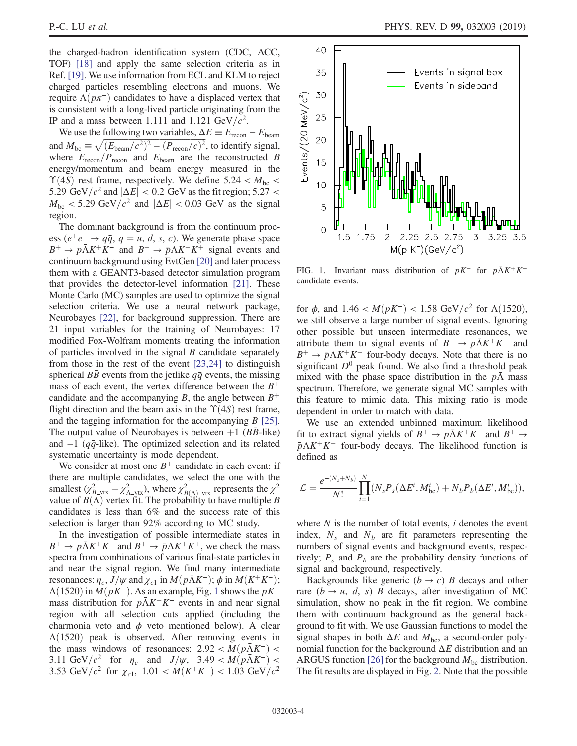the charged-hadron identification system (CDC, ACC, TOF) [\[18\]](#page-8-14) and apply the same selection criteria as in Ref. [\[19\]](#page-8-15). We use information from ECL and KLM to reject charged particles resembling electrons and muons. We require  $\Lambda(p\pi^-)$  candidates to have a displaced vertex that is consistent with a long-lived particle originating from the IP and a mass between 1.111 and 1.121  $GeV/c^2$ .

We use the following two variables,  $\Delta E \equiv E_{\text{recon}} - E_{\text{beam}}$ and  $M_{bc} \equiv \sqrt{(E_{\text{beam}}/c^2)^2 - (P_{\text{recon}}/c)^2}$ , to identify signal, where  $E_{\text{recon}}/P_{\text{recon}}$  and  $E_{\text{beam}}$  are the reconstructed B energy/momentum and beam energy measured in the  $\Upsilon(4S)$  rest frame, respectively. We define 5.24 <  $M_{\text{bc}}$  < 5.29 GeV/ $c^2$  and  $|\Delta E|$  < 0.2 GeV as the fit region; 5.27 <  $M_{\text{bc}}$  < 5.29 GeV/ $c^2$  and  $|\Delta E|$  < 0.03 GeV as the signal region.

The dominant background is from the continuum process ( $e^+e^- \rightarrow q\bar{q}$ ,  $q = u, d, s, c$ ). We generate phase space  $B^+ \to p\bar{\Lambda}K^+K^-$  and  $B^+ \to \bar{p}\Lambda K^+K^+$  signal events and continuum background using EvtGen [\[20\]](#page-8-16) and later process them with a GEANT3-based detector simulation program that provides the detector-level information [\[21\]](#page-8-17). These Monte Carlo (MC) samples are used to optimize the signal selection criteria. We use a neural network package, Neurobayes [\[22\]](#page-8-18), for background suppression. There are 21 input variables for the training of Neurobayes: 17 modified Fox-Wolfram moments treating the information of particles involved in the signal  $B$  candidate separately from those in the rest of the event [\[23,24\]](#page-8-19) to distinguish spherical BB events from the jetlike  $q\bar{q}$  events, the missing mass of each event, the vertex difference between the  $B^+$ candidate and the accompanying B, the angle between  $B^+$ flight direction and the beam axis in the  $\Upsilon(4S)$  rest frame, and the tagging information for the accompanying B [\[25\]](#page-8-20). The output value of Neurobayes is between  $+1$  (BB-like) and  $-1$  ( $q\bar{q}$ -like). The optimized selection and its related systematic uncertainty is mode dependent.

We consider at most one  $B^+$  candidate in each event: if there are multiple candidates, we select the one with the smallest  $(\chi^2_{B-V} + \chi^2_{A-V}$ , where  $\chi^2_{B(\Lambda)-V}$  represents the  $\chi^2$ value of  $B(\Lambda)$  vertex fit. The probability to have multiple B candidates is less than 6% and the success rate of this selection is larger than 92% according to MC study.

In the investigation of possible intermediate states in  $B^+ \to p\bar{\Lambda}K^+K^-$  and  $B^+ \to \bar{p}\Lambda K^+K^+$ , we check the mass spectra from combinations of various final-state particles in and near the signal region. We find many intermediate resonances:  $\eta_c$ ,  $J/\psi$  and  $\chi_{c1}$  in  $M(p\bar{\Lambda}K^-)$ ;  $\phi$  in  $M(K^+K^-)$ ;  $\Lambda(1520)$  $\Lambda(1520)$  $\Lambda(1520)$  in  $M(pK^-)$ . As an example, Fig. 1 shows the  $pK^$ mass distribution for  $p\Lambda K^{+}K^{-}$  events in and near signal region with all selection cuts applied (including the charmonia veto and  $\phi$  veto mentioned below). A clear  $\Lambda(1520)$  peak is observed. After removing events in the mass windows of resonances:  $2.92 < M(p\bar{\Lambda}K^{-})$ 3.11 GeV/ $c^2$  for  $\eta_c$  and  $J/\psi$ , 3.49 <  $M(p\bar{\Lambda}K^-)$  < 3.53 GeV/ $c^2$  for  $\chi_{c1}$ , 1.01 <  $M(K^+K^-)$  < 1.03 GeV/ $c^2$ 

<span id="page-3-0"></span>

FIG. 1. Invariant mass distribution of  $pK^-$  for  $p\bar{\Lambda}K^+K^$ candidate events.

for  $\phi$ , and 1.46 <  $M(pK^{-})$  < 1.58 GeV/ $c^{2}$  for  $\Lambda(1520)$ , we still observe a large number of signal events. Ignoring other possible but unseen intermediate resonances, we attribute them to signal events of  $B^+ \rightarrow p\bar{\Lambda}K^+K^-$  and  $B^+ \rightarrow \bar{p}\Lambda K^+K^+$  four-body decays. Note that there is no significant  $D^0$  peak found. We also find a threshold peak mixed with the phase space distribution in the  $p\bar{\Lambda}$  mass spectrum. Therefore, we generate signal MC samples with this feature to mimic data. This mixing ratio is mode dependent in order to match with data.

We use an extended unbinned maximum likelihood fit to extract signal yields of  $B^+ \to p\bar{\Lambda}K^+K^-$  and  $B^+ \to$  $\bar{p}\Lambda K^{+}K^{+}$  four-body decays. The likelihood function is defined as

$$
\mathcal{L} = \frac{e^{-(N_s + N_b)}}{N!} \prod_{i=1}^{N} (N_s P_s(\Delta E^i, M_{bc}^i) + N_b P_b(\Delta E^i, M_{bc}^i)),
$$

where  $N$  is the number of total events,  $i$  denotes the event index,  $N_s$  and  $N_b$  are fit parameters representing the numbers of signal events and background events, respectively;  $P_s$  and  $P_b$  are the probability density functions of signal and background, respectively.

Backgrounds like generic  $(b \rightarrow c)$  B decays and other rare  $(b \rightarrow u, d, s)$  B decays, after investigation of MC simulation, show no peak in the fit region. We combine them with continuum background as the general background to fit with. We use Gaussian functions to model the signal shapes in both  $\Delta E$  and  $M_{bc}$ , a second-order polynomial function for the background  $\Delta E$  distribution and an ARGUS function [\[26\]](#page-8-21) for the background  $M_{bc}$  distribution. The fit results are displayed in Fig. [2.](#page-4-0) Note that the possible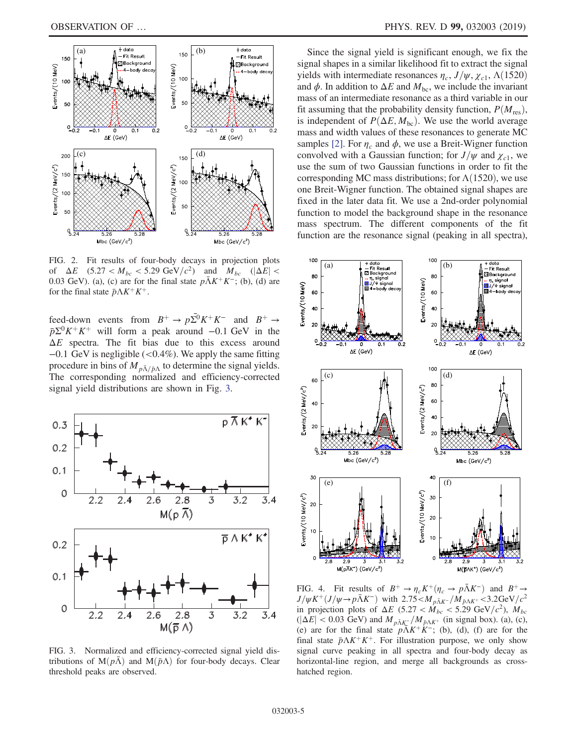<span id="page-4-0"></span>

FIG. 2. Fit results of four-body decays in projection plots of  $\Delta E$  (5.27 <  $M_{bc}$  < 5.29 GeV/ $c^2$ ) and  $M_{bc}$  ( $|\Delta E|$  < 0.03 GeV). (a), (c) are for the final state  $p\bar{\Lambda}K^+K^-$ ; (b), (d) are for the final state  $\bar{p}\Lambda K^{+}K^{+}$ .

feed-down events from  $B^+ \to p\overline{\Sigma}^0 K^+ K^-$  and  $B^+ \to$  $\bar{p}\Sigma^{0}K^{+}K^{+}$  will form a peak around −0.1 GeV in the  $\Delta E$  spectra. The fit bias due to this excess around −0.1 GeV is negligible (<0.4%). We apply the same fitting procedure in bins of  $M_{p\bar{\Lambda}/\bar{p}\Lambda}$  to determine the signal yields. The corresponding normalized and efficiency-corrected signal yield distributions are shown in Fig. [3](#page-4-1).

<span id="page-4-1"></span>

FIG. 3. Normalized and efficiency-corrected signal yield distributions of  $M(p\overline{\Lambda})$  and  $M(\overline{p}\Lambda)$  for four-body decays. Clear threshold peaks are observed.

Since the signal yield is significant enough, we fix the signal shapes in a similar likelihood fit to extract the signal yields with intermediate resonances  $\eta_c$ ,  $J/\psi$ ,  $\chi_{c1}$ ,  $\Lambda$ (1520) and  $\phi$ . In addition to  $\Delta E$  and  $M_{bc}$ , we include the invariant mass of an intermediate resonance as a third variable in our fit assuming that the probability density function,  $P(M_{res})$ , is independent of  $P(\Delta E, M_{bc})$ . We use the world average mass and width values of these resonances to generate MC samples [\[2\].](#page-8-1) For  $\eta_c$  and  $\phi$ , we use a Breit-Wigner function convolved with a Gaussian function; for  $J/\psi$  and  $\chi_{c1}$ , we use the sum of two Gaussian functions in order to fit the corresponding MC mass distributions; for  $\Lambda(1520)$ , we use one Breit-Wigner function. The obtained signal shapes are fixed in the later data fit. We use a 2nd-order polynomial function to model the background shape in the resonance mass spectrum. The different components of the fit function are the resonance signal (peaking in all spectra),

<span id="page-4-2"></span>

FIG. 4. Fit results of  $B^+ \to \eta_c K^+ (\eta_c \to p\bar{\Lambda} K^-)$  and  $B^+ \to$  $J/\psi K^+(J/\psi \rightarrow p\bar{\Lambda}K^-)$  with 2.75 <  $M_{p\bar{\Lambda}K^-}/M_{\bar{p}\Lambda K^+}$  < 3.2GeV/ $c^2$ in projection plots of  $\Delta E$  (5.27 <  $\dot{M}_{bc}$  < 5.29 GeV/ $c^2$ ),  $M_{bc}$  $(|\Delta E| < 0.03$  GeV) and  $M_{p\bar{\Lambda} K^-}/M_{\bar{p}\Lambda K^+}$  (in signal box). (a), (c), (e) are for the final state  $p\overline{\Lambda}K^{+}\overline{K}$ ; (b), (d), (f) are for the final state  $\bar{p}\Lambda K^{+}K^{+}$ . For illustration purpose, we only show signal curve peaking in all spectra and four-body decay as horizontal-line region, and merge all backgrounds as crosshatched region.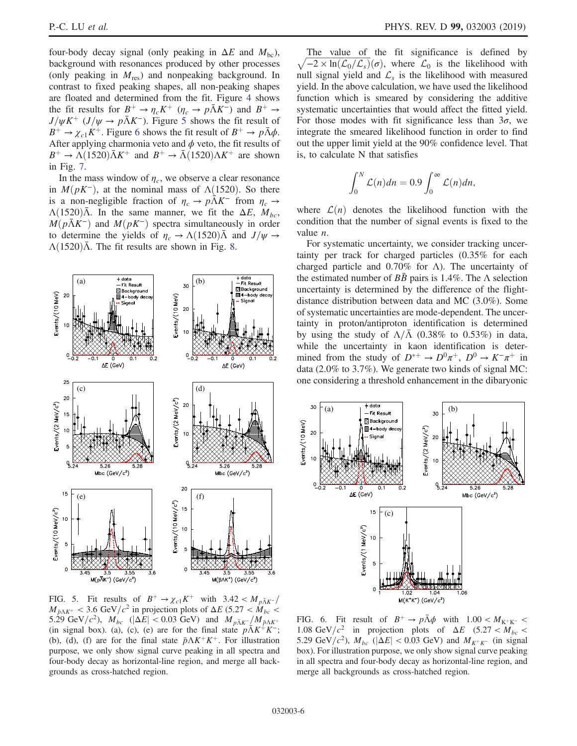four-body decay signal (only peaking in  $\Delta E$  and  $M_{bc}$ ), background with resonances produced by other processes (only peaking in  $M_{res}$ ) and nonpeaking background. In contrast to fixed peaking shapes, all non-peaking shapes are floated and determined from the fit. Figure [4](#page-4-2) shows the fit results for  $B^+ \to \eta_c K^+$  ( $\eta_c \to p\bar{\Lambda} K^-$ ) and  $B^+ \to$  $J/\psi K^+$  ( $J/\psi \rightarrow p\bar{\Lambda} K^-$ ). Figure [5](#page-5-0) shows the fit result of  $B^+ \to \chi_{c1} K^+$ . Figure [6](#page-5-1) shows the fit result of  $B^+ \to p\bar{\Lambda}\phi$ . After applying charmonia veto and  $\phi$  veto, the fit results of  $B^+ \to \Lambda (1520) \bar{\Lambda} K^+$  and  $B^+ \to \bar{\Lambda} (1520) \Lambda K^+$  are shown in Fig. [7](#page-6-0).

In the mass window of  $\eta_c$ , we observe a clear resonance in  $M(pK^-)$ , at the nominal mass of  $\Lambda(1520)$ . So there is a non-negligible fraction of  $\eta_c \to p\bar{\Lambda} K^-$  from  $\eta_c \to$  $\Lambda(1520)\overline{\Lambda}$ . In the same manner, we fit the  $\Delta E$ ,  $M_{bc}$ ,  $M(p\bar{\Lambda}K^-)$  and  $M(pK^-)$  spectra simultaneously in order to determine the yields of  $\eta_c \to \Lambda (1520) \Lambda$  and  $J/\psi \to$  $\Lambda(1520)\overline{\Lambda}$ . The fit results are shown in Fig. [8](#page-6-1).

<span id="page-5-0"></span>

The value of the fit significance is defined by  $\sqrt{-2 \times \ln(\mathcal{L}_0/\mathcal{L}_s)}(\sigma)$ , where  $\mathcal{L}_0$  is the likelihood with null signal yield and  $\mathcal{L}_s$  is the likelihood with measured yield. In the above calculation, we have used the likelihood function which is smeared by considering the additive systematic uncertainties that would affect the fitted yield. For those modes with fit significance less than  $3\sigma$ , we integrate the smeared likelihood function in order to find out the upper limit yield at the 90% confidence level. That is, to calculate N that satisfies

$$
\int_0^N \mathcal{L}(n) dn = 0.9 \int_0^\infty \mathcal{L}(n) dn,
$$

where  $\mathcal{L}(n)$  denotes the likelihood function with the condition that the number of signal events is fixed to the value n.

For systematic uncertainty, we consider tracking uncertainty per track for charged particles (0.35% for each charged particle and  $0.70\%$  for  $\Lambda$ ). The uncertainty of the estimated number of  $B\bar{B}$  pairs is 1.4%. The  $\Lambda$  selection uncertainty is determined by the difference of the flightdistance distribution between data and MC (3.0%). Some of systematic uncertainties are mode-dependent. The uncertainty in proton/antiproton identification is determined by using the study of  $\Lambda/\Lambda$  (0.38% to 0.53%) in data, while the uncertainty in kaon identification is determined from the study of  $D^{*+} \to D^0 \pi^+$ ,  $D^0 \to K^- \pi^+$  in data (2.0% to 3.7%). We generate two kinds of signal MC: one considering a threshold enhancement in the dibaryonic

<span id="page-5-1"></span>

 $M_{\bar{p}\Lambda K^+}$  < 3.6 GeV/ $c^2$  in projection plots of  $\Delta E$  (5.27 <  $\dot{M}_{bc}$  < 5.29 GeV/ $c^2$ ),  $M_{bc}$  ( $|\Delta E|$  < 0.03 GeV) and  $M_{p\bar{\Lambda} K^-}/M_{\bar{p}\Lambda K^+}$ (in signal box). (a), (c), (e) are for the final state  $p\overline{\Lambda}K^{+}K^{-}$ ; (b), (d), (f) are for the final state  $\bar{p}\Lambda K^{+}K^{+}$ . For illustration purpose, we only show signal curve peaking in all spectra and four-body decay as horizontal-line region, and merge all backgrounds as cross-hatched region.

FIG. 6. Fit result of  $B^+ \to p\bar{\Lambda}\phi$  with  $1.00 < M_{K^+K^-} <$ 1.08 GeV/ $c^2$  in projection plots of  $\Delta E$  (5.27 <  $M_{bc}$  < 5.29 GeV/ $c^2$ ),  $M_{bc}$  ( $|\Delta E|$  < 0.03 GeV) and  $M_{K^+K^-}$  (in signal box). For illustration purpose, we only show signal curve peaking in all spectra and four-body decay as horizontal-line region, and merge all backgrounds as cross-hatched region.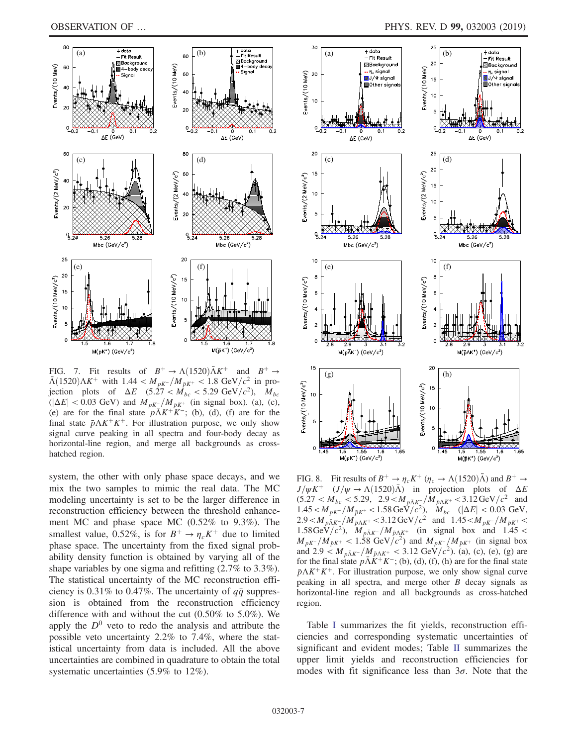<span id="page-6-0"></span>

FIG. 7. Fit results of  $B^+ \rightarrow \Lambda(1520)\bar{\Lambda}K^+$  and  $B^+ \rightarrow$  $\bar{\Lambda}$ (1520) $\Lambda K^+$  with 1.44 <  $M_{pK^-}/M_{\bar{p}K^+}$  < 1.8 GeV/ $c^2$  in projection plots of  $\Delta E$  (5.27 <  $\dot{M}_{bc}$  < 5.29 GeV/ $c^2$ ),  $M_{bc}$  $(|\Delta E| < 0.03$  GeV) and  $M_{pK}$ <sup>-</sup>/ $M_{\bar{p}K}$ <sup>+</sup> (in signal box). (a), (c), (e) are for the final state  $p\overline{\Lambda}K^+K^-$ ; (b), (d), (f) are for the final state  $\bar{p}\Lambda K^{+}K^{+}$ . For illustration purpose, we only show signal curve peaking in all spectra and four-body decay as horizontal-line region, and merge all backgrounds as crosshatched region.

system, the other with only phase space decays, and we mix the two samples to mimic the real data. The MC modeling uncertainty is set to be the larger difference in reconstruction efficiency between the threshold enhancement MC and phase space MC (0.52% to 9.3%). The smallest value, 0.52%, is for  $B^+ \to \eta_c K^+$  due to limited phase space. The uncertainty from the fixed signal probability density function is obtained by varying all of the shape variables by one sigma and refitting (2.7% to 3.3%). The statistical uncertainty of the MC reconstruction efficiency is 0.31% to 0.47%. The uncertainty of  $q\bar{q}$  suppression is obtained from the reconstruction efficiency difference with and without the cut (0.50% to 5.0%). We apply the  $D^0$  veto to redo the analysis and attribute the possible veto uncertainty 2.2% to 7.4%, where the statistical uncertainty from data is included. All the above uncertainties are combined in quadrature to obtain the total systematic uncertainties (5.9% to 12%).

<span id="page-6-1"></span>

FIG. 8. Fit results of  $B^+ \to \eta_c K^+$  ( $\eta_c \to \Lambda (1520) \bar{\Lambda}$ ) and  $B^+ \to$  $J/\psi K^+$   $(J/\psi \rightarrow \Lambda(1520)\bar{\Lambda})$  in projection plots of  $\Delta E$  $(5.27 < M_{bc} < 5.29, 2.9 < M_{p\bar{\Lambda}K_{\perp}}/M_{\bar{p}\Lambda K^+} < 3.12 \,\text{GeV}/c^2$  and  $1.45 < M_{pK^-}/M_{\bar{p}K^+} < 1.58 \,\text{GeV}/c^2$ ),  $M_{bc}$  ( $|\Delta E| < 0.03 \,\text{GeV}$ ,  $2.9 < M_{\bar{p}\bar{\Lambda}K^-} / M_{\bar{p}\Lambda K^+} < 3.12 \,\text{GeV}/c^2$  and  $1.45 < M_{pK^-} / M_{\bar{p}K^+} <$ 1.58GeV/ $c^2$ ),  $M_{p\bar{\Lambda} K^-} / M_{\bar{p}\Lambda K^+}$  (in signal box and 1.45 <  $M_{pK^-}/M_{\bar{p}K^+}$  < 1.58 GeV/ $c^2$ ) and  $M_{pK^-}/M_{\bar{p}K^+}$  (in signal box and 2.9  $\lt M_{p\bar{\Lambda}K^-}/M_{\bar{p}\Lambda K^+}$  < 3.12 GeV/c<sup>2</sup>). (a), (c), (e), (g) are for the final state  $p\bar{\Lambda}K^+K^-$ ; (b), (d), (f), (h) are for the final state  $\bar{p}\Lambda K^{+}K^{+}$ . For illustration purpose, we only show signal curve peaking in all spectra, and merge other B decay signals as horizontal-line region and all backgrounds as cross-hatched region.

Table [I](#page-7-0) summarizes the fit yields, reconstruction efficiencies and corresponding systematic uncertainties of significant and evident modes; Table [II](#page-7-1) summarizes the upper limit yields and reconstruction efficiencies for modes with fit significance less than  $3\sigma$ . Note that the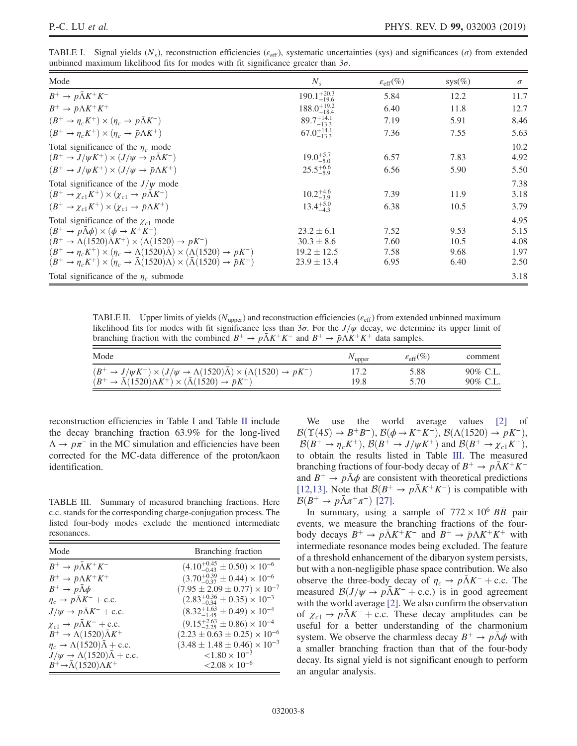<span id="page-7-0"></span>TABLE I. Signal yields  $(N_s)$ , reconstruction efficiencies ( $\varepsilon_{\text{eff}}$ ), systematic uncertainties (sys) and significances ( $\sigma$ ) from extended unbinned maximum likelihood fits for modes with fit significance greater than  $3\sigma$ .

| Mode                                                                                                              | $N_{s}$                 | $\varepsilon_{\rm eff}(\%)$ | $sys(\%)$ | $\sigma$     |
|-------------------------------------------------------------------------------------------------------------------|-------------------------|-----------------------------|-----------|--------------|
| $B^+ \rightarrow p\bar{\Lambda}K^+K^-$                                                                            | $190.1_{-19.6}^{+20.3}$ | 5.84                        | 12.2      | 11.7         |
| $B^+ \rightarrow \bar{p}\Lambda K^+ K^+$                                                                          | $188.0^{+19.2}_{-18.4}$ | 6.40                        | 11.8      | 12.7         |
| $(B^+ \to \eta_c K^+) \times (\eta_c \to p\bar{\Lambda}K^-)$                                                      | $89.7^{+14.1}_{-13.3}$  | 7.19                        | 5.91      | 8.46         |
| $(B^+ \to \eta_c K^+) \times (\eta_c \to \bar{p} \Lambda K^+)$                                                    | $67.0^{+14.1}_{-13.3}$  | 7.36                        | 7.55      | 5.63         |
| Total significance of the $\eta_c$ mode<br>$(B^+ \to J/\psi K^+) \times (J/\psi \to p\bar{\Lambda} K^-)$          | $19.0^{+5.7}_{-5.0}$    | 6.57                        | 7.83      | 10.2<br>4.92 |
| $(B^+ \to J/\psi K^+) \times (J/\psi \to \bar{p}\Lambda K^+)$                                                     | $25.5^{+6.6}_{-5.9}$    | 6.56                        | 5.90      | 5.50         |
| Total significance of the $J/\psi$ mode                                                                           |                         |                             |           | 7.38         |
| $(B^+ \to \chi_{c1} K^+) \times (\chi_{c1} \to p\bar{\Lambda} K^-)$                                               | $10.2^{+4.6}_{-3.9}$    | 7.39                        | 11.9      | 3.18         |
| $(B^+ \to \chi_{c1} K^+) \times (\chi_{c1} \to \bar{p} \Lambda K^+)$                                              | $13.4^{+5.0}_{-4.3}$    | 6.38                        | 10.5      | 3.79         |
| Total significance of the $\chi_{c1}$ mode                                                                        |                         |                             |           | 4.95         |
| $(B^+ \to p\bar{\Lambda}\phi) \times (\phi \to K^+K^-)$                                                           | $23.2 \pm 6.1$          | 7.52                        | 9.53      | 5.15         |
| $(B^+ \rightarrow \Lambda(1520)\bar{\Lambda}K^+) \times (\Lambda(1520) \rightarrow pK^-)$                         | $30.3 \pm 8.6$          | 7.60                        | 10.5      | 4.08         |
| $(B^+ \to \eta_c K^+) \times (\eta_c \to \Lambda(1520)\bar{\Lambda}) \times (\Lambda(1520) \to pK^-)$             | $19.2 \pm 12.5$         | 7.58                        | 9.68      | 1.97         |
| $(B^+ \to \eta_c K^+) \times (\eta_c \to \bar{\Lambda}(1520)\Lambda) \times (\bar{\Lambda}(1520) \to \bar{p}K^+)$ | $23.9 \pm 13.4$         | 6.95                        | 6.40      | 2.50         |
| Total significance of the $\eta_c$ submode                                                                        |                         |                             |           | 3.18         |

<span id="page-7-1"></span>TABLE II. Upper limits of yields ( $N_{\text{upper}}$ ) and reconstruction efficiencies ( $\varepsilon_{\text{eff}}$ ) from extended unbinned maximum likelihood fits for modes with fit significance less than  $3\sigma$ . For the  $J/\psi$  decay, we determine its upper limit of branching fraction with the combined  $B^+ \to p\bar{\Lambda}K^+K^-$  and  $B^+ \to p\Lambda K^+K^+$  data samples.

| Mode                                                                                                                          | v upper | $\varepsilon_{\rm eff}(\%)$ | comment             |
|-------------------------------------------------------------------------------------------------------------------------------|---------|-----------------------------|---------------------|
| $(B^+ \rightarrow J/\psi K^+) \times (J/\psi \rightarrow \Lambda(1520)\bar{\Lambda}) \times (\Lambda(1520) \rightarrow pK^-)$ |         | 5.88                        | $90\% \text{ C.L.}$ |
| $(B^+ \rightarrow \bar{\Lambda}(1520)\Lambda K^+) \times (\bar{\Lambda}(1520) \rightarrow \bar{p}K^+)$                        | 19.8    | 5.70                        | $90\% \text{ C.L.}$ |

reconstruction efficiencies in Table [I](#page-7-0) and Table [II](#page-7-1) include the decay branching fraction 63.9% for the long-lived  $\Lambda \to p\pi^-$  in the MC simulation and efficiencies have been corrected for the MC-data difference of the proton/kaon identification.

<span id="page-7-2"></span>TABLE III. Summary of measured branching fractions. Here c.c. stands for the corresponding charge-conjugation process. The listed four-body modes exclude the mentioned intermediate resonances.

| Mode                                                            | Branching fraction                               |  |  |
|-----------------------------------------------------------------|--------------------------------------------------|--|--|
| $B^+ \rightarrow p\bar{\Lambda}K^+K^-$                          | $(4.10^{+0.45}_{-0.43} \pm 0.50) \times 10^{-6}$ |  |  |
| $B^+ \rightarrow \bar{p}\Lambda K^+ K^+$                        | $(3.70^{+0.39}_{-0.37} \pm 0.44) \times 10^{-6}$ |  |  |
| $B^+ \rightarrow p \Lambda \phi$                                | $(7.95 \pm 2.09 \pm 0.77) \times 10^{-7}$        |  |  |
| $\eta_c \rightarrow p\Lambda K^- + \text{c.c.}$                 | $(2.83^{+0.36}_{-0.34} \pm 0.35) \times 10^{-3}$ |  |  |
| $J/\psi \rightarrow p\bar{\Lambda}K^-$ + c.c.                   | $(8.32^{+1.63}_{-1.45} \pm 0.49) \times 10^{-4}$ |  |  |
| $\chi_{c1} \rightarrow p\bar{\Lambda}K^-$ + c.c.                | $(9.15^{+2.63}_{-2.25} \pm 0.86) \times 10^{-4}$ |  |  |
| $B^+ \rightarrow \Lambda (1520) \bar{\Lambda} K^+$              | $(2.23 \pm 0.63 \pm 0.25) \times 10^{-6}$        |  |  |
| $\eta_c \rightarrow \Lambda (1520) \bar{\Lambda} + \text{c.c.}$ | $(3.48 \pm 1.48 \pm 0.46) \times 10^{-3}$        |  |  |
| $J/\psi \rightarrow \Lambda (1520) \bar{\Lambda} + \text{c.c.}$ | $< 1.80 \times 10^{-3}$                          |  |  |
| $B^+\rightarrow \bar{\Lambda}(1520)\Lambda K^+$                 | $< 2.08 \times 10^{-6}$                          |  |  |

We use the world average values [\[2\]](#page-8-1) of  $\mathcal{B}(\Upsilon(4S) \to B^+B^-), \mathcal{B}(\phi \to K^+K^-), \mathcal{B}(\Lambda(1520) \to pK^-),$  $\mathcal{B}(B^+ \to \eta_c K^+)$ ,  $\mathcal{B}(B^+ \to J/\psi K^+)$  and  $\mathcal{B}(B^+ \to \chi_{c1} K^+)$ , to obtain the results listed in Table [III.](#page-7-2) The measured branching fractions of four-body decay of  $B^+ \to p\bar{\Lambda}K^+K^$ and  $B^+ \rightarrow p\bar{\Lambda}\phi$  are consistent with theoretical predictions [\[12,13\]](#page-8-10). Note that  $\mathcal{B}(B^+ \to p\bar{\Lambda}K^+K^-)$  is compatible with  $\mathcal{B}(B^+ \to p\bar{\Lambda}\pi^+\pi^-)$  [\[27\]](#page-8-22).

In summary, using a sample of  $772 \times 10^6$  BB pair events, we measure the branching fractions of the fourbody decays  $B^+ \to p\bar{\Lambda}K^+K^-$  and  $B^+ \to p\Lambda K^+K^+$  with intermediate resonance modes being excluded. The feature of a threshold enhancement of the dibaryon system persists, but with a non-negligible phase space contribution. We also observe the three-body decay of  $\eta_c \to p\bar{\Lambda}K^-$  + c.c. The measured  $\mathcal{B}(J/\psi \to p\bar{\Lambda}K^- + \text{c.c.})$  is in good agreement with the world average [\[2\].](#page-8-1) We also confirm the observation of  $\chi_{c1} \rightarrow p\bar{\Lambda}K^-$  + c.c. These decay amplitudes can be useful for a better understanding of the charmonium system. We observe the charmless decay  $B^+ \to p\bar{\Lambda}\phi$  with a smaller branching fraction than that of the four-body decay. Its signal yield is not significant enough to perform an angular analysis.